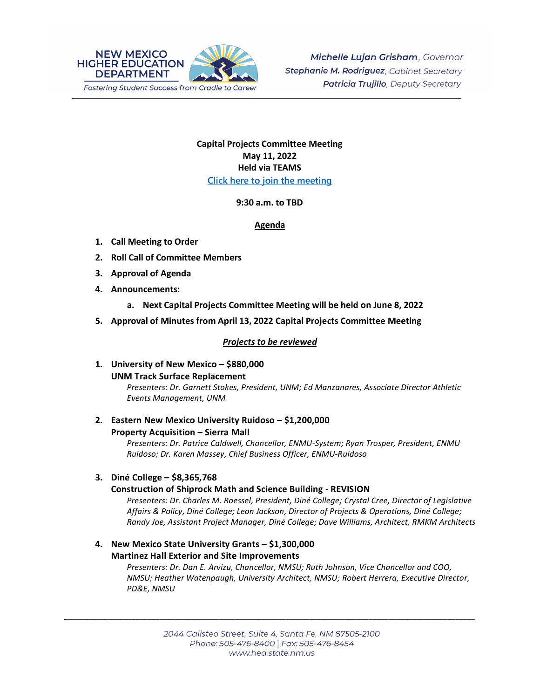

## **Capital Projects Committee Meeting May 11, 2022 Held via TEAMS [Click here to join the meeting](https://teams.microsoft.com/l/meetup-join/19%3ameeting_N2Y3ZjAzNTctYjk4ZC00ZDAxLTkxZWMtMjFjMGJjOTM1MTU2%40thread.v2/0?context=%7b%22Tid%22%3a%2204aa6bf4-d436-426f-bfa4-04b7a70e60ff%22%2c%22Oid%22%3a%222844ecea-db84-4cd8-97b7-9d410f1aa07b%22%7d)**

#### **9:30 a.m. to TBD**

### **Agenda**

- **1. Call Meeting to Order**
- **2. Roll Call of Committee Members**
- **3. Approval of Agenda**
- **4. Announcements:**
	- **a. Next Capital Projects Committee Meeting will be held on June 8, 2022**
- **5. Approval of Minutes from April 13, 2022 Capital Projects Committee Meeting**

### *Projects to be reviewed*

**1. University of New Mexico – \$880,000 UNM Track Surface Replacement** 

*Presenters: Dr. Garnett Stokes, President, UNM; Ed Manzanares, Associate Director Athletic Events Management, UNM* 

**2. Eastern New Mexico University Ruidoso – \$1,200,000 Property Acquisition – Sierra Mall** 

*Presenters: Dr. Patrice Caldwell, Chancellor, ENMU-System; Ryan Trosper, President, ENMU Ruidoso; Dr. Karen Massey, Chief Business Officer, ENMU-Ruidoso*

**3. Diné College – \$8,365,768**

#### **Construction of Shiprock Math and Science Building - REVISION**

*Presenters: Dr. Charles M. Roessel, President, Diné College; Crystal Cree, Director of Legislative Affairs & Policy, Diné College; Leon Jackson, Director of Projects & Operations, Diné College; Randy Joe, Assistant Project Manager, Diné College; Dave Williams, Architect, RMKM Architects* 

# **4. New Mexico State University Grants – \$1,300,000 Martinez Hall Exterior and Site Improvements**

*Presenters: Dr. Dan E. Arvizu, Chancellor, NMSU; Ruth Johnson, Vice Chancellor and COO, NMSU; Heather Watenpaugh, University Architect, NMSU; Robert Herrera, Executive Director, PD&E, NMSU*

\_\_\_\_\_\_\_\_\_\_\_\_\_\_\_\_\_\_\_\_\_\_\_\_\_\_\_\_\_\_\_\_\_\_\_\_\_\_\_\_\_\_\_\_\_\_\_\_\_\_\_\_\_\_\_\_\_\_\_\_\_\_\_\_\_\_\_\_\_\_\_\_\_\_\_\_\_\_\_\_\_\_\_\_\_\_\_\_\_\_\_\_\_\_\_\_\_\_\_\_\_\_\_\_